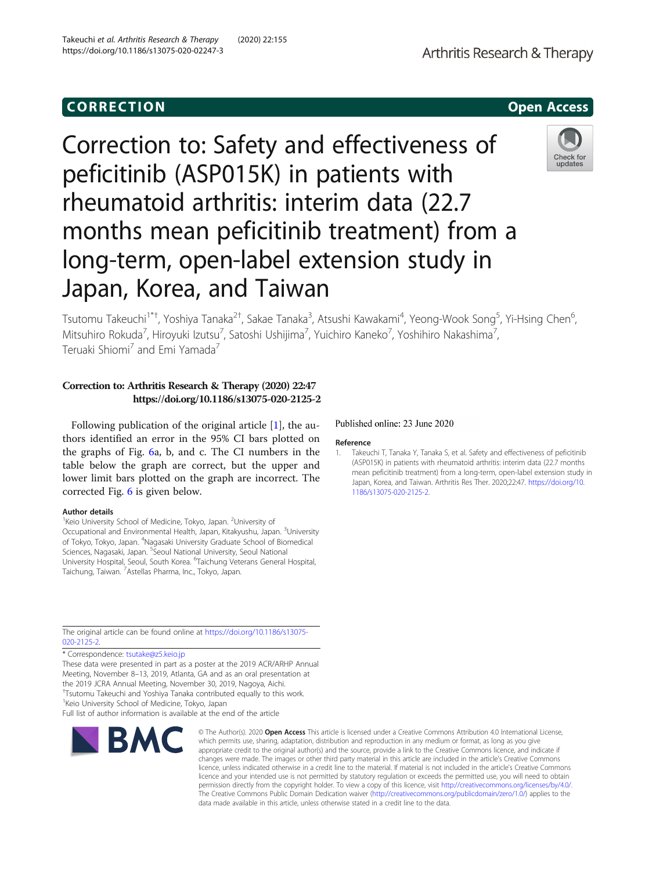# CORR EC TION Open [Access](http://crossmark.crossref.org/dialog/?doi=10.1186/s13075-020-02247-3&domain=pdf)

Correction to: Safety and effectiveness of peficitinib (ASP015K) in patients with rheumatoid arthritis: interim data (22.7 months mean peficitinib treatment) from a long-term, open-label extension study in Japan, Korea, and Taiwan

Tsutomu Takeuchi<sup>1\*†</sup>, Yoshiya Tanaka<sup>2†</sup>, Sakae Tanaka<sup>3</sup>, Atsushi Kawakami<sup>4</sup>, Yeong-Wook Song<sup>5</sup>, Yi-Hsing Chen<sup>6</sup> , Mitsuhiro Rokuda<sup>7</sup>, Hiroyuki Izutsu<sup>7</sup>, Satoshi Ushijima<sup>7</sup>, Yuichiro Kaneko<sup>7</sup>, Yoshihiro Nakashima<sup>7</sup> , Teruaki Shiomi<sup>7</sup> and Emi Yamada<sup>7</sup>

## Correction to: Arthritis Research & Therapy (2020) 22:47 https://doi.org/10.1186/s13075-020-2125-2

Following publication of the original article [1], the authors identified an error in the 95% CI bars plotted on the graphs of Fig. [6](#page-1-0)a, b, and c. The CI numbers in the table below the graph are correct, but the upper and lower limit bars plotted on the graph are incorrect. The corrected Fig. [6](#page-1-0) is given below.

#### Author details

<sup>1</sup> Keio University School of Medicine, Tokyo, Japan. <sup>2</sup>University of Occupational and Environmental Health, Japan, Kitakyushu, Japan. <sup>3</sup>University of Tokyo, Tokyo, Japan. <sup>4</sup>Nagasaki University Graduate School of Biomedical Sciences, Nagasaki, Japan. <sup>5</sup>Seoul National University, Seoul National University Hospital, Seoul, South Korea. <sup>6</sup> Taichung Veterans General Hospital, Taichung, Taiwan. <sup>7</sup>Astellas Pharma, Inc., Tokyo, Japan.

The original article can be found online at [https://doi.org/10.1186/s13075-](https://doi.org/10.1186/s13075-020-2125-2) [020-2125-2.](https://doi.org/10.1186/s13075-020-2125-2)

\* Correspondence: [tsutake@z5.keio.jp](mailto:tsutake@z5.keio.jp)

These data were presented in part as a poster at the 2019 ACR/ARHP Annual Meeting, November 8–13, 2019, Atlanta, GA and as an oral presentation at the 2019 JCRA Annual Meeting, November 30, 2019, Nagoya, Aichi. † Tsutomu Takeuchi and Yoshiya Tanaka contributed equally to this work.

<sup>1</sup> Keio University School of Medicine, Tokyo, Japan

BMC

Full list of author information is available at the end of the article

## Published online: 23 June 2020

### Reference

1. Takeuchi T, Tanaka Y, Tanaka S, et al. Safety and effectiveness of peficitinib (ASP015K) in patients with rheumatoid arthritis: interim data (22.7 months mean peficitinib treatment) from a long-term, open-label extension study in Japan, Korea, and Taiwan. Arthritis Res Ther. 2020;22:47. [https://doi.org/10.](https://doi.org/10.1186/s13075-020-2125-2) [1186/s13075-020-2125-2](https://doi.org/10.1186/s13075-020-2125-2).

© The Author(s), 2020 **Open Access** This article is licensed under a Creative Commons Attribution 4.0 International License, which permits use, sharing, adaptation, distribution and reproduction in any medium or format, as long as you give appropriate credit to the original author(s) and the source, provide a link to the Creative Commons licence, and indicate if changes were made. The images or other third party material in this article are included in the article's Creative Commons licence, unless indicated otherwise in a credit line to the material. If material is not included in the article's Creative Commons licence and your intended use is not permitted by statutory regulation or exceeds the permitted use, you will need to obtain permission directly from the copyright holder. To view a copy of this licence, visit [http://creativecommons.org/licenses/by/4.0/.](http://creativecommons.org/licenses/by/4.0/) The Creative Commons Public Domain Dedication waiver [\(http://creativecommons.org/publicdomain/zero/1.0/](http://creativecommons.org/publicdomain/zero/1.0/)) applies to the data made available in this article, unless otherwise stated in a credit line to the data.

Takeuchi et al. Arthritis Research & Therapy (2020) 22:155 https://doi.org/10.1186/s13075-020-02247-3